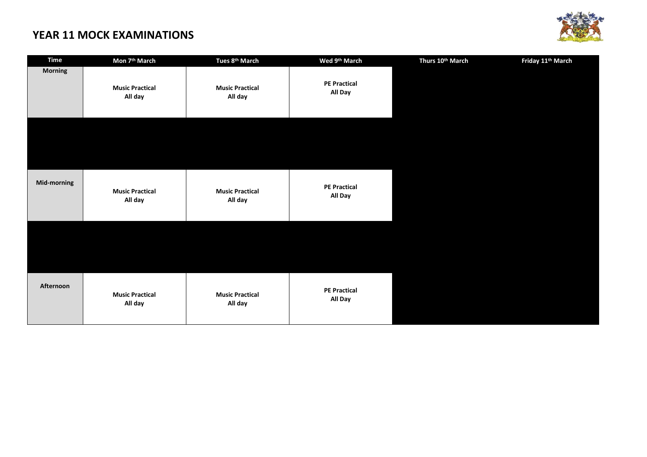

## **YEAR 11 MOCK EXAMINATIONS**

| <b>Time</b>        | Mon 7 <sup>th</sup> March         | Tues 8 <sup>th</sup> March        | Wed 9 <sup>th</sup> March      | Thurs 10th March | Friday 11 <sup>th</sup> March |
|--------------------|-----------------------------------|-----------------------------------|--------------------------------|------------------|-------------------------------|
| <b>Morning</b>     | <b>Music Practical</b><br>All day | <b>Music Practical</b><br>All day | <b>PE Practical</b><br>All Day |                  |                               |
|                    |                                   |                                   |                                |                  |                               |
| <b>Mid-morning</b> | <b>Music Practical</b><br>All day | <b>Music Practical</b><br>All day | <b>PE Practical</b><br>All Day |                  |                               |
|                    |                                   |                                   |                                |                  |                               |
| Afternoon          | <b>Music Practical</b><br>All day | <b>Music Practical</b><br>All day | <b>PE Practical</b><br>All Day |                  |                               |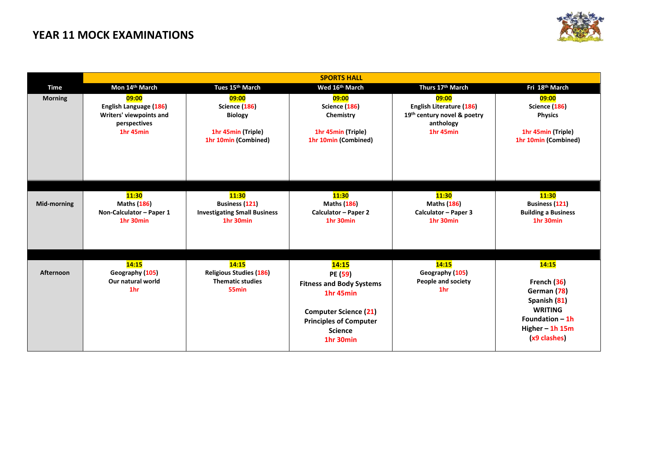

|                | <b>SPORTS HALL</b>                                                                      |                                                                                         |                                                                                                                                                                  |                                                                                                   |                                                                                                                                |  |  |
|----------------|-----------------------------------------------------------------------------------------|-----------------------------------------------------------------------------------------|------------------------------------------------------------------------------------------------------------------------------------------------------------------|---------------------------------------------------------------------------------------------------|--------------------------------------------------------------------------------------------------------------------------------|--|--|
| <b>Time</b>    | Mon 14th March                                                                          | Tues 15th March                                                                         | Wed 16th March                                                                                                                                                   | Thurs 17th March                                                                                  | Fri 18th March                                                                                                                 |  |  |
| <b>Morning</b> | 09:00<br>English Language (186)<br>Writers' viewpoints and<br>perspectives<br>1hr 45min | 09:00<br>Science (186)<br><b>Biology</b><br>1hr 45min (Triple)<br>1hr 10min (Combined)  | 09:00<br>Science (186)<br>Chemistry<br>1hr 45min (Triple)<br>1hr 10min (Combined)                                                                                | 09:00<br><b>English Literature (186)</b><br>19th century novel & poetry<br>anthology<br>1hr 45min | 09:00<br>Science (186)<br><b>Physics</b><br>1hr 45min (Triple)<br>1hr 10min (Combined)                                         |  |  |
| Mid-morning    | 11:30<br><b>Maths (186)</b><br>Non-Calculator - Paper 1<br>1hr 30min                    | 11:30<br><b>Business (121)</b><br><b>Investigating Small Business</b><br>1hr 30min      | 11:30<br><b>Maths (186)</b><br>Calculator - Paper 2<br>1hr 30min                                                                                                 | 11:30<br><b>Maths (186)</b><br>Calculator - Paper 3<br>1hr 30min                                  | 11:30<br><b>Business (121)</b><br><b>Building a Business</b><br>1hr 30min                                                      |  |  |
| Afternoon      | 14:15<br>Geography (105)<br>Our natural world<br>1hr                                    | 14:15<br><b>Religious Studies (186)</b><br><b>Thematic studies</b><br>55 <sub>min</sub> | 14:15<br>PE (59)<br><b>Fitness and Body Systems</b><br>1hr 45min<br><b>Computer Science (21)</b><br><b>Principles of Computer</b><br><b>Science</b><br>1hr 30min | 14:15<br>Geography (105)<br><b>People and society</b><br>1hr                                      | 14:15<br>French (36)<br>German (78)<br>Spanish (81)<br><b>WRITING</b><br>Foundation $-1h$<br>Higher $-$ 1h 15m<br>(x9 clashes) |  |  |